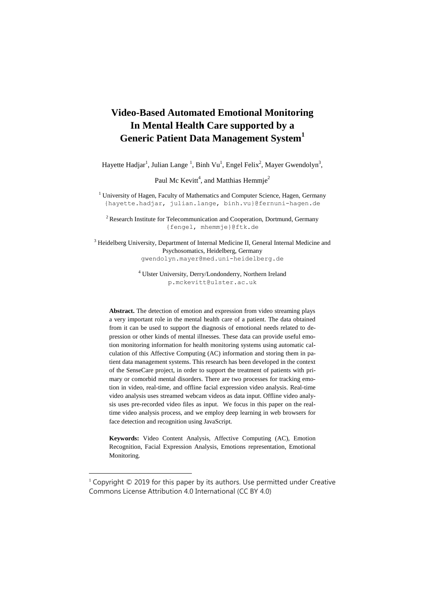# **Video-Based Automated Emotional Monitoring In Mental Health Care supported by a Generic Patient Data Management System<sup>1</sup>**

Hayette Hadjar<sup>1</sup>, Julian Lange<sup>1</sup>, Binh Vu<sup>1</sup>, Engel Felix<sup>2</sup>, Mayer Gwendolyn<sup>3</sup>,

Paul Mc Kevitt<sup>4</sup>, and Matthias Hemmje<sup>2</sup>

<sup>1</sup> University of Hagen, Faculty of Mathematics and Computer Science, Hagen, Germany {hayette.hadjar, julian.lange, binh.v[u}@fernuni-hagen.de](mailto:%7d@fernuni-hagen.de)

 $2$  Research Institute for Telecommunication and Cooperation, Dortmund, Germany {fengel, mhemmje}@ftk.de

<sup>3</sup> Heidelberg University, Department of Internal Medicine II, General Internal Medicine and Psychosomatics, Heidelberg, Germany gwendolyn.mayer@med.uni-heidelberg.de

> <sup>4</sup> Ulster University, Derry/Londonderry, Northern Ireland p.mckevitt@ulster.ac.uk

**Abstract.** The detection of emotion and expression from video streaming plays a very important role in the mental health care of a patient. The data obtained from it can be used to support the diagnosis of emotional needs related to depression or other kinds of mental illnesses. These data can provide useful emotion monitoring information for health monitoring systems using automatic calculation of this Affective Computing (AC) information and storing them in patient data management systems. This research has been developed in the context of the SenseCare project, in order to support the treatment of patients with primary or comorbid mental disorders. There are two processes for tracking emotion in video, real-time, and offline facial expression video analysis. Real-time video analysis uses streamed webcam videos as data input. Offline video analysis uses pre-recorded video files as input. We focus in this paper on the realtime video analysis process, and we employ deep learning in web browsers for face detection and recognition using JavaScript.

**Keywords:** Video Content Analysis, Affective Computing (AC), Emotion Recognition, Facial Expression Analysis, Emotions representation, Emotional Monitoring.

 $\overline{a}$ 

<sup>&</sup>lt;sup>1</sup> Copyright © 2019 for this paper by its authors. Use permitted under Creative Commons License Attribution 4.0 International (CC BY 4.0)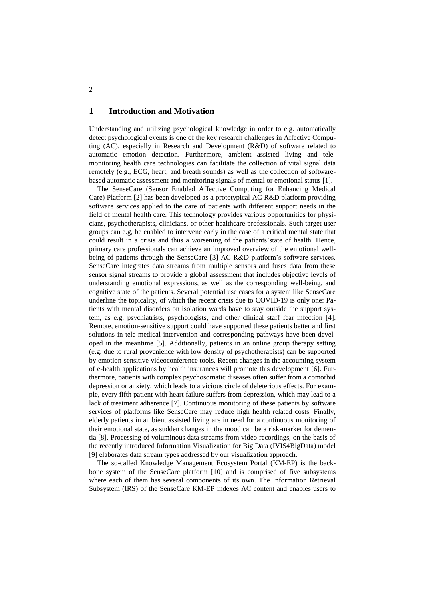## **1 Introduction and Motivation**

Understanding and utilizing psychological knowledge in order to e.g. automatically detect psychological events is one of the key research challenges in Affective Computing (AC), especially in Research and Development (R&D) of software related to automatic emotion detection. Furthermore, ambient assisted living and telemonitoring health care technologies can facilitate the collection of vital signal data remotely (e.g., ECG, heart, and breath sounds) as well as the collection of softwarebased automatic assessment and monitoring signals of mental or emotional status [1].

The SenseCare (Sensor Enabled Affective Computing for Enhancing Medical Care) Platform [2] has been developed as a prototypical AC R&D platform providing software services applied to the care of patients with different support needs in the field of mental health care. This technology provides various opportunities for physicians, psychotherapists, clinicians, or other healthcare professionals. Such target user groups can e.g, be enabled to intervene early in the case of a critical mental state that could result in a crisis and thus a worsening of the patients'state of health. Hence, primary care professionals can achieve an improved overview of the emotional wellbeing of patients through the SenseCare [3] AC R&D platform's software services. SenseCare integrates data streams from multiple sensors and fuses data from these sensor signal streams to provide a global assessment that includes objective levels of understanding emotional expressions, as well as the corresponding well-being, and cognitive state of the patients. Several potential use cases for a system like SenseCare underline the topicality, of which the recent crisis due to COVID-19 is only one: Patients with mental disorders on isolation wards have to stay outside the support system, as e.g. psychiatrists, psychologists, and other clinical staff fear infection [4]. Remote, emotion-sensitive support could have supported these patients better and first solutions in tele-medical intervention and corresponding pathways have been developed in the meantime [5]. Additionally, patients in an online group therapy setting (e.g. due to rural provenience with low density of psychotherapists) can be supported by emotion-sensitive videoconference tools. Recent changes in the accounting system of e-health applications by health insurances will promote this development [6]. Furthermore, patients with complex psychosomatic diseases often suffer from a comorbid depression or anxiety, which leads to a vicious circle of deleterious effects. For example, every fifth patient with heart failure suffers from depression, which may lead to a lack of treatment adherence [7]. Continuous monitoring of these patients by software services of platforms like SenseCare may reduce high health related costs. Finally, elderly patients in ambient assisted living are in need for a continuous monitoring of their emotional state, as sudden changes in the mood can be a risk-marker for dementia [8]. Processing of voluminous data streams from video recordings, on the basis of the recently introduced Information Visualization for Big Data (IVIS4BigData) model [9] elaborates data stream types addressed by our visualization approach.

The so-called Knowledge Management Ecosystem Portal (KM-EP) is the backbone system of the SenseCare platform [10] and is comprised of five subsystems where each of them has several components of its own. The Information Retrieval Subsystem (IRS) of the SenseCare KM-EP indexes AC content and enables users to

2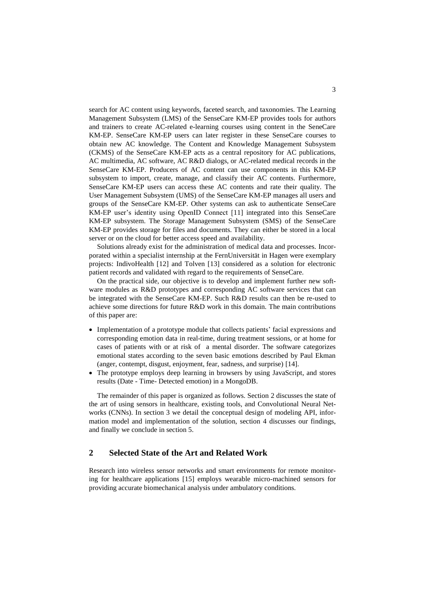search for AC content using keywords, faceted search, and taxonomies. The Learning Management Subsystem (LMS) of the SenseCare KM-EP provides tools for authors and trainers to create AC-related e-learning courses using content in the SeneCare KM-EP. SenseCare KM-EP users can later register in these SenseCare courses to obtain new AC knowledge. The Content and Knowledge Management Subsystem (CKMS) of the SenseCare KM-EP acts as a central repository for AC publications, AC multimedia, AC software, AC R&D dialogs, or AC-related medical records in the SenseCare KM-EP. Producers of AC content can use components in this KM-EP subsystem to import, create, manage, and classify their AC contents. Furthermore, SenseCare KM-EP users can access these AC contents and rate their quality. The User Management Subsystem (UMS) of the SenseCare KM-EP manages all users and groups of the SenseCare KM-EP. Other systems can ask to authenticate SenseCare KM-EP user's identity using OpenID Connect [11] integrated into this SenseCare KM-EP subsystem. The Storage Management Subsystem (SMS) of the SenseCare KM-EP provides storage for files and documents. They can either be stored in a local server or on the cloud for better access speed and availability.

Solutions already exist for the administration of medical data and processes. Incorporated within a specialist internship at the FernUniversität in Hagen were exemplary projects: IndivoHealth [12] and Tolven [13] considered as a solution for electronic patient records and validated with regard to the requirements of SenseCare.

On the practical side, our objective is to develop and implement further new software modules as R&D prototypes and corresponding AC software services that can be integrated with the SenseCare KM-EP. Such R&D results can then be re-used to achieve some directions for future R&D work in this domain. The main contributions of this paper are:

- Implementation of a prototype module that collects patients' facial expressions and corresponding emotion data in real-time, during treatment sessions, or at home for cases of patients with or at risk of a mental disorder. The software categorizes emotional states according to the seven basic emotions described by Paul Ekman (anger, contempt, disgust, enjoyment, fear, sadness, and surprise) [14].
- The prototype employs deep learning in browsers by using JavaScript, and stores results (Date - Time- Detected emotion) in a MongoDB.

The remainder of this paper is organized as follows. Section 2 discusses the state of the art of using sensors in healthcare, existing tools, and Convolutional Neural Networks (CNNs). In section 3 we detail the conceptual design of modeling API, information model and implementation of the solution, section 4 discusses our findings, and finally we conclude in section 5.

# **2 Selected State of the Art and Related Work**

Research into wireless sensor networks and smart environments for remote monitoring for healthcare applications [15] employs wearable micro-machined sensors for providing accurate biomechanical analysis under ambulatory conditions.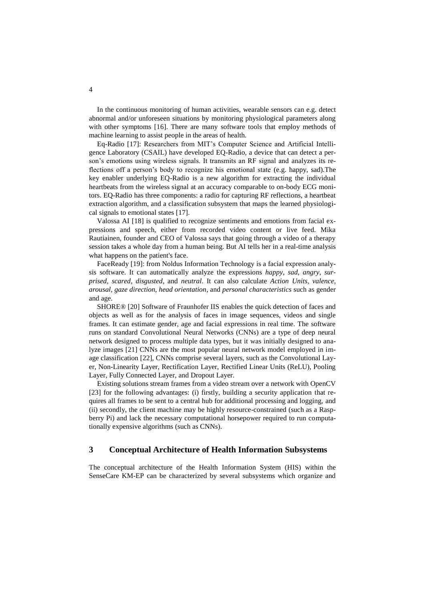In the continuous monitoring of human activities, wearable sensors can e.g. detect abnormal and/or unforeseen situations by monitoring physiological parameters along with other symptoms [16]. There are many software tools that employ methods of machine learning to assist people in the areas of health.

Eq-Radio [17]: Researchers from MIT's Computer Science and Artificial Intelligence Laboratory (CSAIL) have developed EQ-Radio, a device that can detect a person's emotions using wireless signals. It transmits an RF signal and analyzes its reflections off a person's body to recognize his emotional state (e.g. happy, sad).The key enabler underlying EQ-Radio is a new algorithm for extracting the individual heartbeats from the wireless signal at an accuracy comparable to on-body ECG monitors. EQ-Radio has three components: a radio for capturing RF reflections, a heartbeat extraction algorithm, and a classification subsystem that maps the learned physiological signals to emotional states [17].

Valossa AI [18] is qualified to recognize sentiments and emotions from facial expressions and speech, either from recorded video content or live feed. Mika Rautiainen, founder and CEO of Valossa says that going through a video of a therapy session takes a whole day from a human being. But AI tells her in a real-time analysis what happens on the patient's face.

FaceReady [19]: from Noldus Information Technology is a facial expression analysis software. It can automatically analyze the expressions *happy*, *sad*, *angry*, *surprised*, *scared*, *disgusted*, and *neutral*. It can also calculate *Action Units, valence, arousal, gaze direction, head orientation*, and *personal characteristics* such as gender and age.

SHORE® [20] Software of Fraunhofer IIS enables the quick detection of faces and objects as well as for the analysis of faces in image sequences, videos and single frames. It can estimate gender, age and facial expressions in real time. The software runs on standard Convolutional Neural Networks (CNNs) are a type of deep neural network designed to process multiple data types, but it was initially designed to analyze images [21] CNNs are the most popular neural network model employed in image classification [22], CNNs comprise several layers, such as the Convolutional Layer, Non-Linearity Layer, Rectification Layer, Rectified Linear Units (ReLU), Pooling Layer, Fully Connected Layer, and Dropout Layer.

Existing solutions stream frames from a video stream over a network with OpenCV [23] for the following advantages: (i) firstly, building a security application that requires all frames to be sent to a central hub for additional processing and logging, and (ii) secondly, the client machine may be highly resource-constrained (such as a Raspberry Pi) and lack the necessary computational horsepower required to run computationally expensive algorithms (such as CNNs).

# **3 Conceptual Architecture of Health Information Subsystems**

The conceptual architecture of the Health Information System (HIS) within the SenseCare KM-EP can be characterized by several subsystems which organize and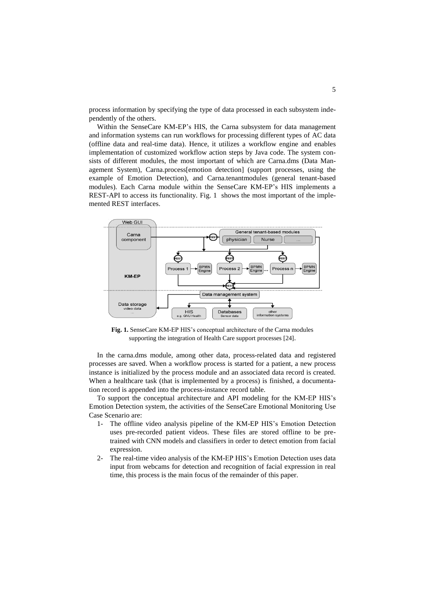process information by specifying the type of data processed in each subsystem independently of the others.

Within the SenseCare KM-EP's HIS, the Carna subsystem for data management and information systems can run workflows for processing different types of AC data (offline data and real-time data). Hence, it utilizes a workflow engine and enables implementation of customized workflow action steps by Java code. The system consists of different modules, the most important of which are Carna.dms (Data Management System), Carna.process[emotion detection] (support processes, using the example of Emotion Detection), and Carna.tenantmodules (general tenant-based modules). Each Carna module within the SenseCare KM-EP's HIS implements a REST-API to access its functionality. Fig. 1 shows the most important of the implemented REST interfaces.



**Fig. 1.** SenseCare KM-EP HIS's conceptual architecture of the Carna modules supporting the integration of Health Care support processes [24].

In the carna.dms module, among other data, process-related data and registered processes are saved. When a workflow process is started for a patient, a new process instance is initialized by the process module and an associated data record is created. When a healthcare task (that is implemented by a process) is finished, a documentation record is appended into the process-instance record table.

To support the conceptual architecture and API modeling for the KM-EP HIS's Emotion Detection system, the activities of the SenseCare Emotional Monitoring Use Case Scenario are:

- 1- The offline video analysis pipeline of the KM-EP HIS's Emotion Detection uses pre-recorded patient videos. These files are stored offline to be pretrained with CNN models and classifiers in order to detect emotion from facial expression.
- 2- The real-time video analysis of the KM-EP HIS's Emotion Detection uses data input from webcams for detection and recognition of facial expression in real time, this process is the main focus of the remainder of this paper.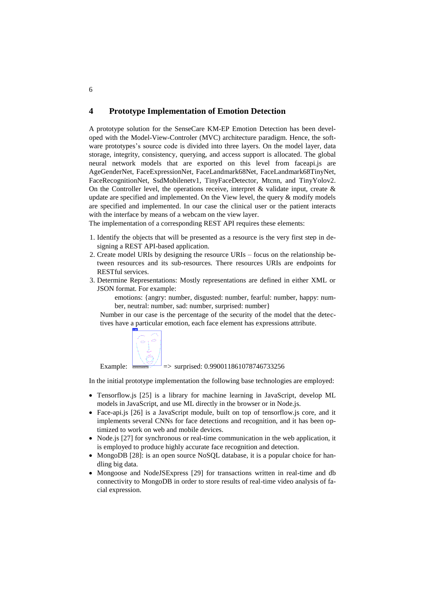## **4 Prototype Implementation of Emotion Detection**

A prototype solution for the SenseCare KM-EP Emotion Detection has been developed with the Model-View-Controler (MVC) architecture paradigm. Hence, the software prototypes's source code is divided into three layers. On the model layer, data storage, integrity, consistency, querying, and access support is allocated. The global neural network models that are exported on this level from faceapi.js are AgeGenderNet, FaceExpressionNet, FaceLandmark68Net, FaceLandmark68TinyNet, FaceRecognitionNet, SsdMobilenetv1, TinyFaceDetector, Mtcnn, and TinyYolov2. On the Controller level, the operations receive, interpret  $\&$  validate input, create  $\&$ update are specified and implemented. On the View level, the query  $\&$  modify models are specified and implemented. In our case the clinical user or the patient interacts with the interface by means of a webcam on the view layer.

The implementation of a corresponding REST API requires these elements:

- 1. Identify the objects that will be presented as a resource is the very first step in designing a REST API-based application.
- 2. Create model URIs by designing the resource URIs focus on the relationship between resources and its sub-resources. There resources URIs are endpoints for RESTful services.
- 3. Determine Representations: Mostly representations are defined in either XML or JSON format. For example:

emotions: {angry: number, disgusted: number, fearful: number, happy: number, neutral: number, sad: number, surprised: number}

Number in our case is the percentage of the security of the model that the detectives have a particular emotion, each face element has expressions attribute.



Example:  $\frac{1.32}{1.325}$  => surprised: 0.990011861078746733256

In the initial prototype implementation the following base technologies are employed:

- Tensorflow.js [25] is a library for machine learning in JavaScript, develop ML models in JavaScript, and use ML directly in the browser or in Node.js.
- Face-api.js [26] is a JavaScript module, built on top of tensorflow.js core, and it implements several CNNs for face detections and recognition, and it has been optimized to work on web and mobile devices.
- Node.js [27] for synchronous or real-time communication in the web application, it is employed to produce highly accurate face recognition and detection.
- MongoDB [28]: is an open source NoSQL database, it is a popular choice for handling big data.
- Mongoose and NodeJSExpress [29] for transactions written in real-time and db connectivity to MongoDB in order to store results of real-time video analysis of facial expression.

6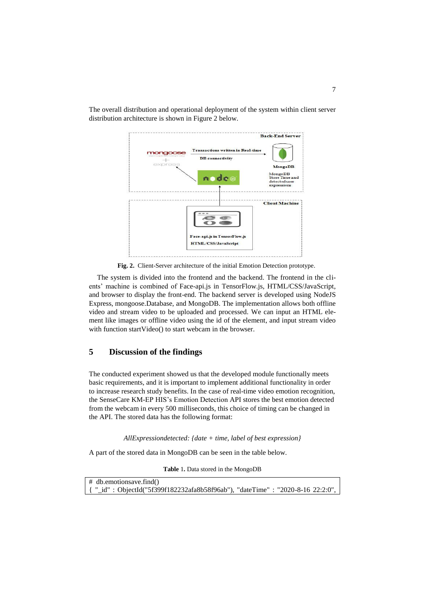

The overall distribution and operational deployment of the system within client server distribution architecture is shown in Figure 2 below.

**Fig. 2.** Client-Server architecture of the initial Emotion Detection prototype.

The system is divided into the frontend and the backend. The frontend in the clients' machine is combined of Face-api.js in TensorFlow.js, HTML/CSS/JavaScript, and browser to display the front-end. The backend server is developed using NodeJS Express, mongoose.Database, and MongoDB. The implementation allows both offline video and stream video to be uploaded and processed. We can input an HTML element like images or offline video using the id of the element, and input stream video with function startVideo() to start webcam in the browser.

# **5 Discussion of the findings**

The conducted experiment showed us that the developed module functionally meets basic requirements, and it is important to implement additional functionality in order to increase research study benefits. In the case of real-time video emotion recognition, the SenseCare KM-EP HIS's Emotion Detection API stores the best emotion detected from the webcam in every 500 milliseconds, this choice of timing can be changed in the API. The stored data has the following format:

*AllExpressiondetected: {date + time, label of best expression}*

A part of the stored data in MongoDB can be seen in the table below.

**Table** 1**.** Data stored in the MongoDB

| $\#$ db.emotionsave.find()                                                     |  |  |
|--------------------------------------------------------------------------------|--|--|
| { "_id": ObjectId("5f399f182232afa8b58f96ab"), "dateTime": "2020-8-16 22:2:0", |  |  |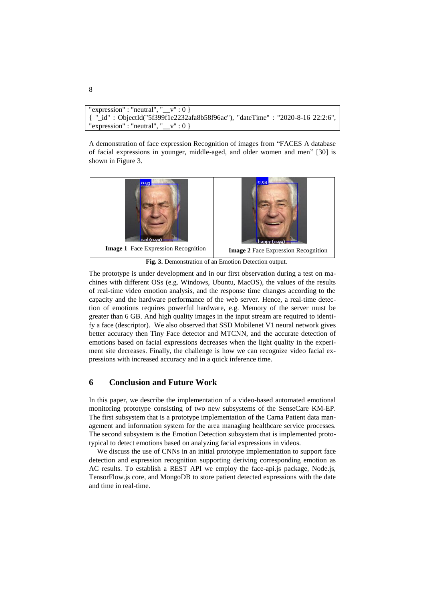```
"expression" : "neutral", \frac{1}{2} \frac{1}{2} \frac{1}{2}{ "_id" : ObjectId("5f399f1e2232afa8b58f96ac"), "dateTime" : "2020-8-16 22:2:6", 
"expression" : "neutral", "v" : 0 }
```
A demonstration of face expression Recognition of images from "FACES A database of facial expressions in younger, middle-aged, and older women and men" [30] is shown in Figure 3.



**Fig. 3.** Demonstration of an Emotion Detection output.

The prototype is under development and in our first observation during a test on machines with different OSs (e.g. Windows, Ubuntu, MacOS), the values of the results of real-time video emotion analysis, and the response time changes according to the capacity and the hardware performance of the web server. Hence, a real-time detection of emotions requires powerful hardware, e.g. Memory of the server must be greater than 6 GB. And high quality images in the input stream are required to identify a face (descriptor). We also observed that SSD Mobilenet V1 neural network gives better accuracy then Tiny Face detector and MTCNN, and the accurate detection of emotions based on facial expressions decreases when the light quality in the experiment site decreases. Finally, the challenge is how we can recognize video facial expressions with increased accuracy and in a quick inference time.

#### **6 Conclusion and Future Work**

In this paper, we describe the implementation of a video-based automated emotional monitoring prototype consisting of two new subsystems of the SenseCare KM-EP. The first subsystem that is a prototype implementation of the Carna Patient data management and information system for the area managing healthcare service processes. The second subsystem is the Emotion Detection subsystem that is implemented prototypical to detect emotions based on analyzing facial expressions in videos.

We discuss the use of CNNs in an initial prototype implementation to support face detection and expression recognition supporting deriving corresponding emotion as AC results. To establish a REST API we employ the face-api.js package, Node.js, TensorFlow.js core, and MongoDB to store patient detected expressions with the date and time in real-time.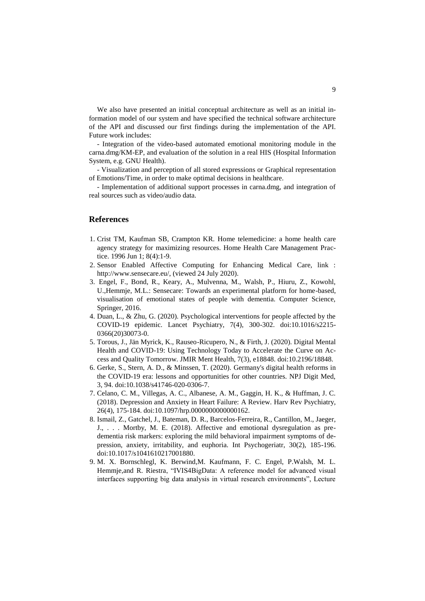We also have presented an initial conceptual architecture as well as an initial information model of our system and have specified the technical software architecture of the API and discussed our first findings during the implementation of the API. Future work includes:

- Integration of the video-based automated emotional monitoring module in the carna.dmg/KM-EP, and evaluation of the solution in a real HIS (Hospital Information System, e.g. GNU Health).

- Visualization and perception of all stored expressions or Graphical representation of Emotions/Time, in order to make optimal decisions in healthcare.

- Implementation of additional support processes in carna.dmg, and integration of real sources such as video/audio data.

#### **References**

- 1. Crist TM, Kaufman SB, Crampton KR. Home telemedicine: a home health care agency strategy for maximizing resources. Home Health Care Management Practice. 1996 Jun 1; 8(4):1-9.
- 2. Sensor Enabled Affective Computing for Enhancing Medical Care, link : [http://www.sensecare.eu/,](http://www.sensecare.eu/) (viewed 24 July 2020).
- 3. Engel, F., Bond, R., Keary, A., Mulvenna, M., Walsh, P., Hiuru, Z., Kowohl, U.,Hemmje, M.L.: Sensecare: Towards an experimental platform for home-based, visualisation of emotional states of people with dementia. Computer Science, Springer, 2016.
- 4. Duan, L., & Zhu, G. (2020). Psychological interventions for people affected by the COVID-19 epidemic. Lancet Psychiatry, 7(4), 300-302. doi:10.1016/s2215- 0366(20)30073-0.
- 5. Torous, J., Jän Myrick, K., Rauseo-Ricupero, N., & Firth, J. (2020). Digital Mental Health and COVID-19: Using Technology Today to Accelerate the Curve on Access and Quality Tomorrow. JMIR Ment Health, 7(3), e18848. doi:10.2196/18848.
- 6. Gerke, S., Stern, A. D., & Minssen, T. (2020). Germany's digital health reforms in the COVID-19 era: lessons and opportunities for other countries. NPJ Digit Med, 3, 94. doi:10.1038/s41746-020-0306-7.
- 7. Celano, C. M., Villegas, A. C., Albanese, A. M., Gaggin, H. K., & Huffman, J. C. (2018). Depression and Anxiety in Heart Failure: A Review. Harv Rev Psychiatry, 26(4), 175-184. doi:10.1097/hrp.0000000000000162.
- 8. Ismail, Z., Gatchel, J., Bateman, D. R., Barcelos-Ferreira, R., Cantillon, M., Jaeger, J., . . . Mortby, M. E. (2018). Affective and emotional dysregulation as predementia risk markers: exploring the mild behavioral impairment symptoms of depression, anxiety, irritability, and euphoria. Int Psychogeriatr, 30(2), 185-196. doi:10.1017/s1041610217001880.
- 9. M. X. Bornschlegl, K. Berwind,M. Kaufmann, F. C. Engel, P.Walsh, M. L. Hemmje,and R. Riestra, "IVIS4BigData: A reference model for advanced visual interfaces supporting big data analysis in virtual research environments", Lecture